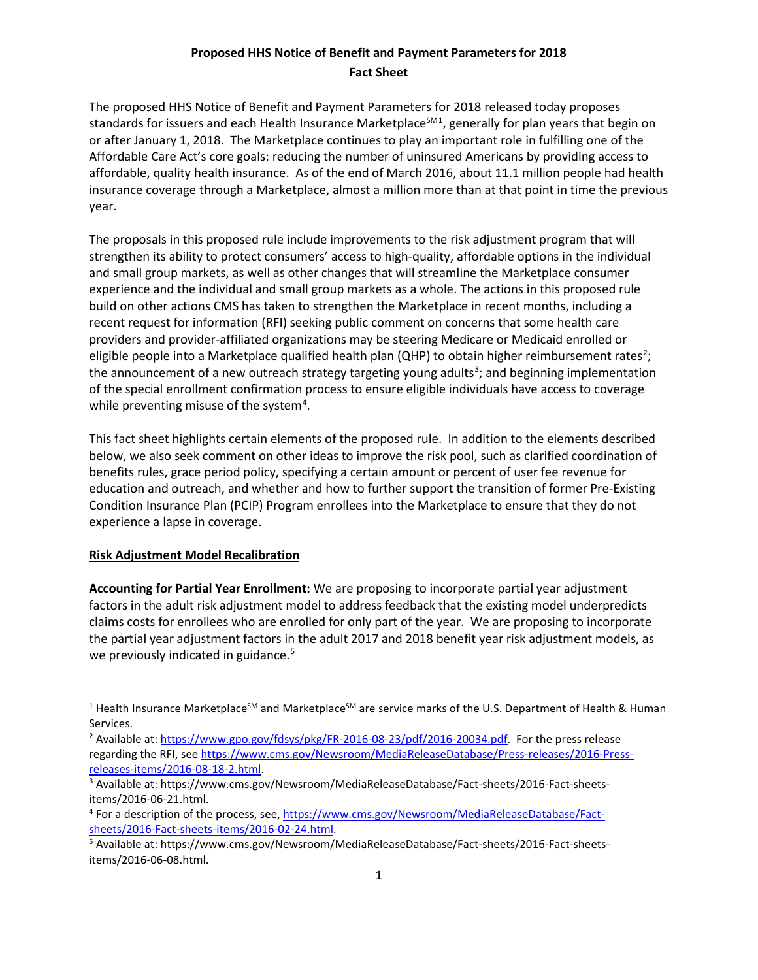The proposed HHS Notice of Benefit and Payment Parameters for 2018 released today proposes standards for issuers and each Health Insurance Marketplace<sup>SM[1](#page-0-0)</sup>, generally for plan years that begin on or after January 1, 2018. The Marketplace continues to play an important role in fulfilling one of the Affordable Care Act's core goals: reducing the number of uninsured Americans by providing access to affordable, quality health insurance. As of the end of March 2016, about 11.1 million people had health insurance coverage through a Marketplace, almost a million more than at that point in time the previous year.

The proposals in this proposed rule include improvements to the risk adjustment program that will strengthen its ability to protect consumers' access to high-quality, affordable options in the individual and small group markets, as well as other changes that will streamline the Marketplace consumer experience and the individual and small group markets as a whole. The actions in this proposed rule build on other actions CMS has taken to strengthen the Marketplace in recent months, including a recent request for information (RFI) seeking public comment on concerns that some health care providers and provider-affiliated organizations may be steering Medicare or Medicaid enrolled or eligible people into a Marketplace qualified health plan (QHP) to obtain higher reimbursement rates<sup>[2](#page-0-1)</sup>; the announcement of a new outreach strategy targeting young adults<sup>[3](#page-0-2)</sup>; and beginning implementation of the special enrollment confirmation process to ensure eligible individuals have access to coverage while preventing misuse of the system<sup>4</sup>.

This fact sheet highlights certain elements of the proposed rule. In addition to the elements described below, we also seek comment on other ideas to improve the risk pool, such as clarified coordination of benefits rules, grace period policy, specifying a certain amount or percent of user fee revenue for education and outreach, and whether and how to further support the transition of former Pre-Existing Condition Insurance Plan (PCIP) Program enrollees into the Marketplace to ensure that they do not experience a lapse in coverage.

### **Risk Adjustment Model Recalibration**

l

**Accounting for Partial Year Enrollment:** We are proposing to incorporate partial year adjustment factors in the adult risk adjustment model to address feedback that the existing model underpredicts claims costs for enrollees who are enrolled for only part of the year. We are proposing to incorporate the partial year adjustment factors in the adult 2017 and 2018 benefit year risk adjustment models, as we previously indicated in guidance.<sup>[5](#page-0-4)</sup>

<span id="page-0-0"></span><sup>&</sup>lt;sup>1</sup> Health Insurance Marketplace<sup>SM</sup> and Marketplace<sup>SM</sup> are service marks of the U.S. Department of Health & Human Services.

<span id="page-0-1"></span><sup>&</sup>lt;sup>2</sup> Available at: [https://www.gpo.gov/fdsys/pkg/FR-2016-08-23/pdf/2016-20034.pdf.](https://www.gpo.gov/fdsys/pkg/FR-2016-08-23/pdf/2016-20034.pdf) For the press release regarding the RFI, se[e https://www.cms.gov/Newsroom/MediaReleaseDatabase/Press-releases/2016-Press](https://www.cms.gov/Newsroom/MediaReleaseDatabase/Press-releases/2016-Press-releases-items/2016-08-18-2.html)[releases-items/2016-08-18-2.html.](https://www.cms.gov/Newsroom/MediaReleaseDatabase/Press-releases/2016-Press-releases-items/2016-08-18-2.html)<br><sup>3</sup> Available at: https://www.cms.gov/Newsroom/MediaReleaseDatabase/Fact-sheets/2016-Fact-sheets-

<span id="page-0-2"></span>items/2016-06-21.html.

<span id="page-0-3"></span><sup>4</sup> For a description of the process, see, [https://www.cms.gov/Newsroom/MediaReleaseDatabase/Fact](https://www.cms.gov/Newsroom/MediaReleaseDatabase/Fact-sheets/2016-Fact-sheets-items/2016-02-24.html)sheets/2016-Fact-sheets-items/2016-02-24.html.<br><sup>5</sup> Available at: https://www.cms.gov/Newsroom/MediaReleaseDatabase/Fact-sheets/2016-Fact-sheets-

<span id="page-0-4"></span>items/2016-06-08.html.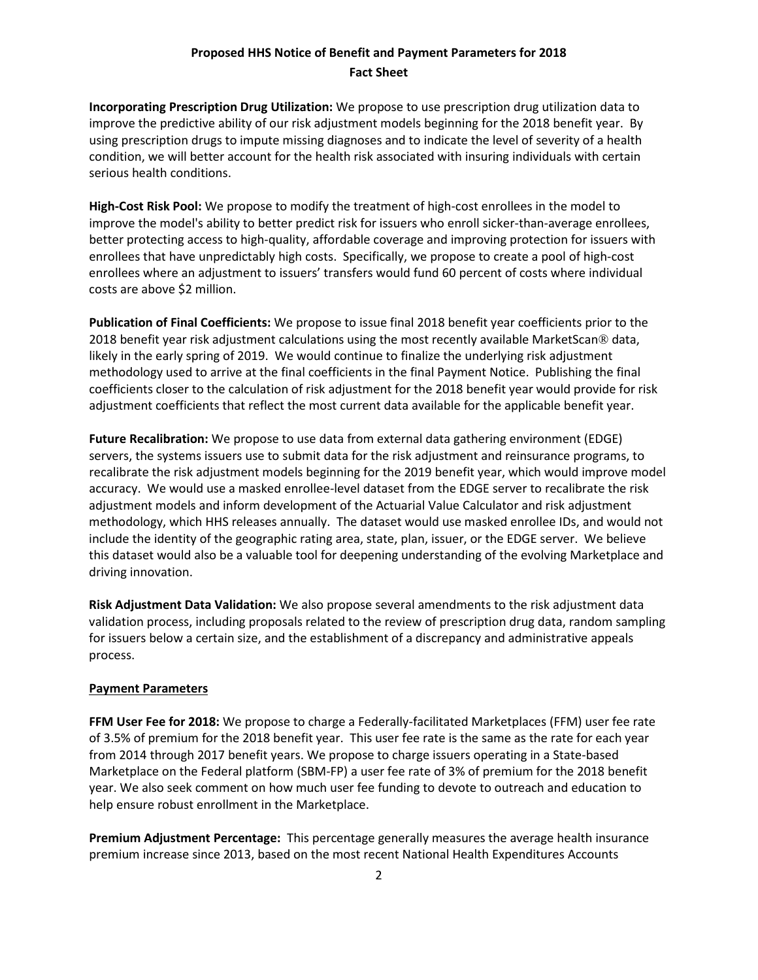**Incorporating Prescription Drug Utilization:** We propose to use prescription drug utilization data to improve the predictive ability of our risk adjustment models beginning for the 2018 benefit year. By using prescription drugs to impute missing diagnoses and to indicate the level of severity of a health condition, we will better account for the health risk associated with insuring individuals with certain serious health conditions.

**High-Cost Risk Pool:** We propose to modify the treatment of high-cost enrollees in the model to improve the model's ability to better predict risk for issuers who enroll sicker-than-average enrollees, better protecting access to high-quality, affordable coverage and improving protection for issuers with enrollees that have unpredictably high costs. Specifically, we propose to create a pool of high-cost enrollees where an adjustment to issuers' transfers would fund 60 percent of costs where individual costs are above \$2 million.

**Publication of Final Coefficients:** We propose to issue final 2018 benefit year coefficients prior to the 2018 benefit year risk adjustment calculations using the most recently available MarketScan® data, likely in the early spring of 2019. We would continue to finalize the underlying risk adjustment methodology used to arrive at the final coefficients in the final Payment Notice. Publishing the final coefficients closer to the calculation of risk adjustment for the 2018 benefit year would provide for risk adjustment coefficients that reflect the most current data available for the applicable benefit year.

**Future Recalibration:** We propose to use data from external data gathering environment (EDGE) servers, the systems issuers use to submit data for the risk adjustment and reinsurance programs, to recalibrate the risk adjustment models beginning for the 2019 benefit year, which would improve model accuracy. We would use a masked enrollee-level dataset from the EDGE server to recalibrate the risk adjustment models and inform development of the Actuarial Value Calculator and risk adjustment methodology, which HHS releases annually. The dataset would use masked enrollee IDs, and would not include the identity of the geographic rating area, state, plan, issuer, or the EDGE server. We believe this dataset would also be a valuable tool for deepening understanding of the evolving Marketplace and driving innovation.

**Risk Adjustment Data Validation:** We also propose several amendments to the risk adjustment data validation process, including proposals related to the review of prescription drug data, random sampling for issuers below a certain size, and the establishment of a discrepancy and administrative appeals process.

#### **Payment Parameters**

**FFM User Fee for 2018:** We propose to charge a Federally-facilitated Marketplaces (FFM) user fee rate of 3.5% of premium for the 2018 benefit year. This user fee rate is the same as the rate for each year from 2014 through 2017 benefit years. We propose to charge issuers operating in a State-based Marketplace on the Federal platform (SBM-FP) a user fee rate of 3% of premium for the 2018 benefit year. We also seek comment on how much user fee funding to devote to outreach and education to help ensure robust enrollment in the Marketplace.

**Premium Adjustment Percentage:** This percentage generally measures the average health insurance premium increase since 2013, based on the most recent National Health Expenditures Accounts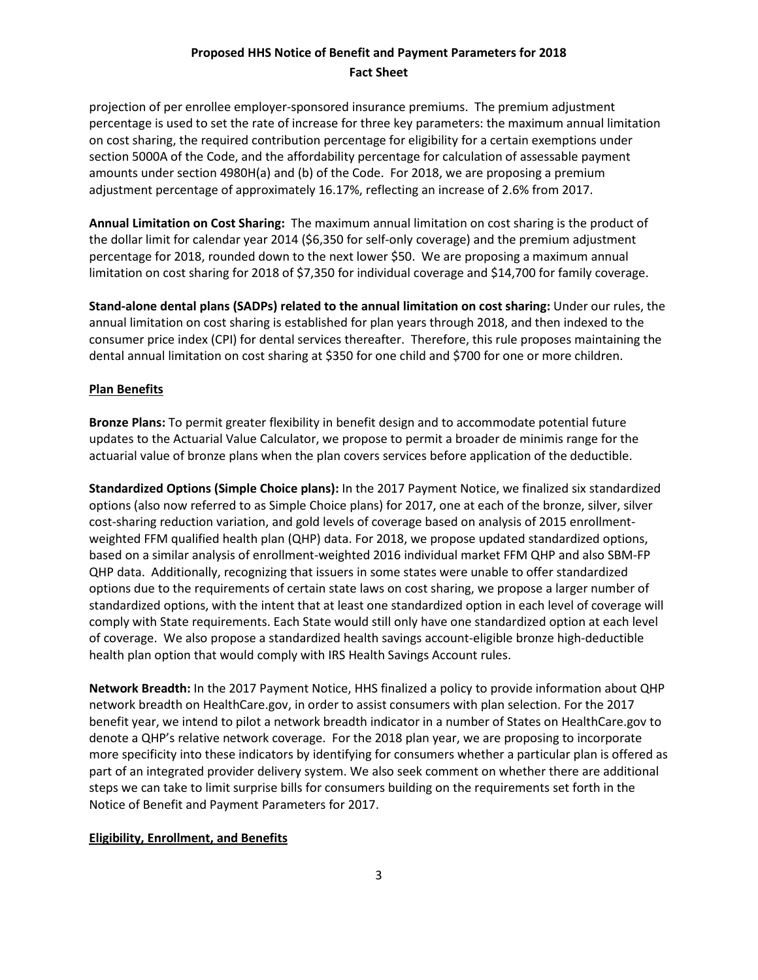projection of per enrollee employer-sponsored insurance premiums. The premium adjustment percentage is used to set the rate of increase for three key parameters: the maximum annual limitation on cost sharing, the required contribution percentage for eligibility for a certain exemptions under section 5000A of the Code, and the affordability percentage for calculation of assessable payment amounts under section 4980H(a) and (b) of the Code. For 2018, we are proposing a premium adjustment percentage of approximately 16.17%, reflecting an increase of 2.6% from 2017.

**Annual Limitation on Cost Sharing:** The maximum annual limitation on cost sharing is the product of the dollar limit for calendar year 2014 (\$6,350 for self-only coverage) and the premium adjustment percentage for 2018, rounded down to the next lower \$50. We are proposing a maximum annual limitation on cost sharing for 2018 of \$7,350 for individual coverage and \$14,700 for family coverage.

**Stand-alone dental plans (SADPs) related to the annual limitation on cost sharing:** Under our rules, the annual limitation on cost sharing is established for plan years through 2018, and then indexed to the consumer price index (CPI) for dental services thereafter. Therefore, this rule proposes maintaining the dental annual limitation on cost sharing at \$350 for one child and \$700 for one or more children.

#### **Plan Benefits**

**Bronze Plans:** To permit greater flexibility in benefit design and to accommodate potential future updates to the Actuarial Value Calculator, we propose to permit a broader de minimis range for the actuarial value of bronze plans when the plan covers services before application of the deductible.

**Standardized Options (Simple Choice plans):** In the 2017 Payment Notice, we finalized six standardized options (also now referred to as Simple Choice plans) for 2017, one at each of the bronze, silver, silver cost-sharing reduction variation, and gold levels of coverage based on analysis of 2015 enrollmentweighted FFM qualified health plan (QHP) data. For 2018, we propose updated standardized options, based on a similar analysis of enrollment-weighted 2016 individual market FFM QHP and also SBM-FP QHP data. Additionally, recognizing that issuers in some states were unable to offer standardized options due to the requirements of certain state laws on cost sharing, we propose a larger number of standardized options, with the intent that at least one standardized option in each level of coverage will comply with State requirements. Each State would still only have one standardized option at each level of coverage. We also propose a standardized health savings account-eligible bronze high-deductible health plan option that would comply with IRS Health Savings Account rules.

**Network Breadth:** In the 2017 Payment Notice, HHS finalized a policy to provide information about QHP network breadth on HealthCare.gov, in order to assist consumers with plan selection. For the 2017 benefit year, we intend to pilot a network breadth indicator in a number of States on HealthCare.gov to denote a QHP's relative network coverage. For the 2018 plan year, we are proposing to incorporate more specificity into these indicators by identifying for consumers whether a particular plan is offered as part of an integrated provider delivery system. We also seek comment on whether there are additional steps we can take to limit surprise bills for consumers building on the requirements set forth in the Notice of Benefit and Payment Parameters for 2017.

#### **Eligibility, Enrollment, and Benefits**